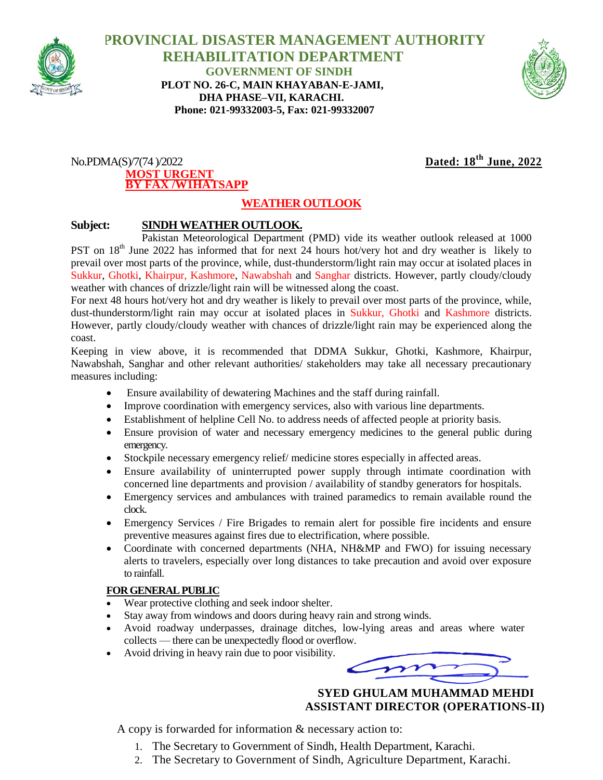

 **PROVINCIAL DISASTER MANAGEMENT AUTHORITY REHABILITATION DEPARTMENT GOVERNMENT OF SINDH PLOT NO. 26-C, MAIN KHAYABAN-E-JAMI, DHA PHASE–VII, KARACHI. Phone: 021-99332003-5, Fax: 021-99332007**



### No.PDMA(S)/7(74 )/2022 **Dated: 18th June, 2022 MOST URGENT BY FAX /W1HATSAPP**

# **WEATHER OUTLOOK**

## **Subject: SINDH WEATHER OUTLOOK.**

Pakistan Meteorological Department (PMD) vide its weather outlook released at 1000 PST on 18<sup>th</sup> June 2022 has informed that for next 24 hours hot/very hot and dry weather is likely to prevail over most parts of the province, while, dust-thunderstorm/light rain may occur at isolated places in Sukkur, Ghotki, Khairpur, Kashmore, Nawabshah and Sanghar districts. However, partly cloudy/cloudy weather with chances of drizzle/light rain will be witnessed along the coast.

For next 48 hours hot/very hot and dry weather is likely to prevail over most parts of the province, while, dust-thunderstorm/light rain may occur at isolated places in Sukkur, Ghotki and Kashmore districts. However, partly cloudy/cloudy weather with chances of drizzle/light rain may be experienced along the coast.

Keeping in view above, it is recommended that DDMA Sukkur, Ghotki, Kashmore, Khairpur, Nawabshah, Sanghar and other relevant authorities/ stakeholders may take all necessary precautionary measures including:

- Ensure availability of dewatering Machines and the staff during rainfall.
- Improve coordination with emergency services, also with various line departments.
- Establishment of helpline Cell No. to address needs of affected people at priority basis.
- Ensure provision of water and necessary emergency medicines to the general public during emergency.
- Stockpile necessary emergency relief/ medicine stores especially in affected areas.
- Ensure availability of uninterrupted power supply through intimate coordination with concerned line departments and provision / availability of standby generators for hospitals.
- Emergency services and ambulances with trained paramedics to remain available round the clock.
- Emergency Services / Fire Brigades to remain alert for possible fire incidents and ensure preventive measures against fires due to electrification, where possible.
- Coordinate with concerned departments (NHA, NH&MP and FWO) for issuing necessary alerts to travelers, especially over long distances to take precaution and avoid over exposure to rainfall.

### **FOR GENERAL PUBLIC**

- Wear protective clothing and seek indoor shelter.
- Stay away from windows and doors during heavy rain and strong winds.
- Avoid roadway underpasses, drainage ditches, low-lying areas and areas where water collects — there can be unexpectedly flood or overflow.
- Avoid driving in heavy rain due to poor visibility.

 **SYED GHULAM MUHAMMAD MEHDI ASSISTANT DIRECTOR (OPERATIONS-II)**

A copy is forwarded for information & necessary action to:

- 1. The Secretary to Government of Sindh, Health Department, Karachi.
- 2. The Secretary to Government of Sindh, Agriculture Department, Karachi.